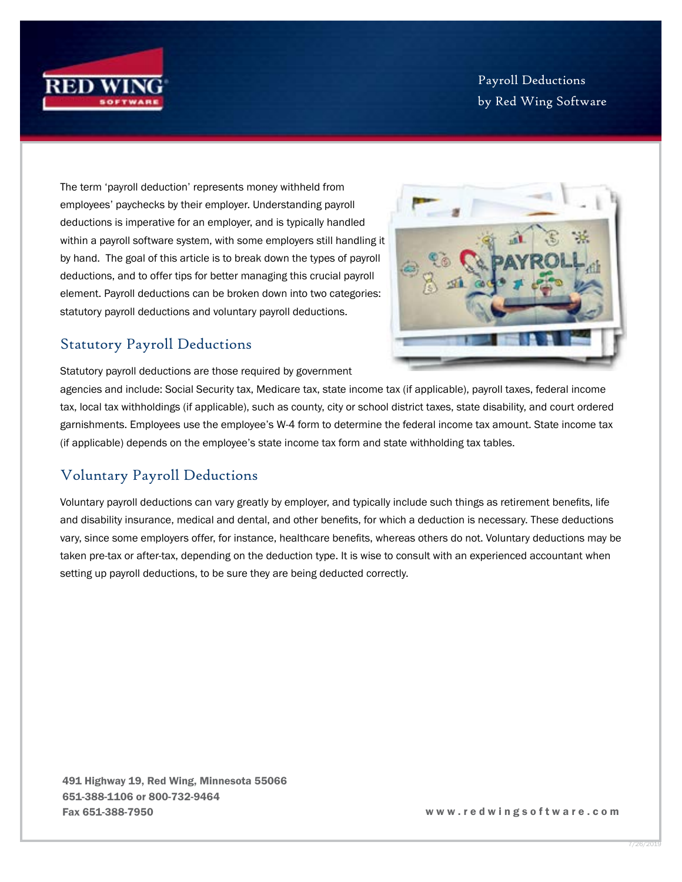

Payroll Deductions by Red Wing Software

The term 'payroll deduction' represents money withheld from employees' paychecks by their employer. Understanding payroll deductions is imperative for an employer, and is typically handled within a payroll software system, with some employers still handling it by hand. The goal of this article is to break down the types of payroll deductions, and to offer tips for better managing this crucial payroll element. Payroll deductions can be broken down into two categories: statutory payroll deductions and voluntary payroll deductions.



## Statutory Payroll Deductions

Statutory payroll deductions are those required by government

agencies and include: Social Security tax, Medicare tax, state income tax (if applicable), payroll taxes, federal income tax, local tax withholdings (if applicable), such as county, city or school district taxes, state disability, and court ordered garnishments. Employees use the employee's W-4 form to determine the federal income tax amount. State income tax (if applicable) depends on the employee's state income tax form and state withholding tax tables.

## Voluntary Payroll Deductions

Voluntary payroll deductions can vary greatly by employer, and typically include such things as retirement benefits, life and disability insurance, medical and dental, and other benefits, for which a deduction is necessary. These deductions vary, since some employers offer, for instance, healthcare benefits, whereas others do not. Voluntary deductions may be taken pre-tax or after-tax, depending on the deduction type. It is wise to consult with an experienced accountant when setting up payroll deductions, to be sure they are being deducted correctly.

491 Highway 19, Red Wing, Minnesota 55066 651-388-1106 or 800-732-9464 Fax 651-388-7950 w w w . r e d w i n g s o f t w a r e . c o m